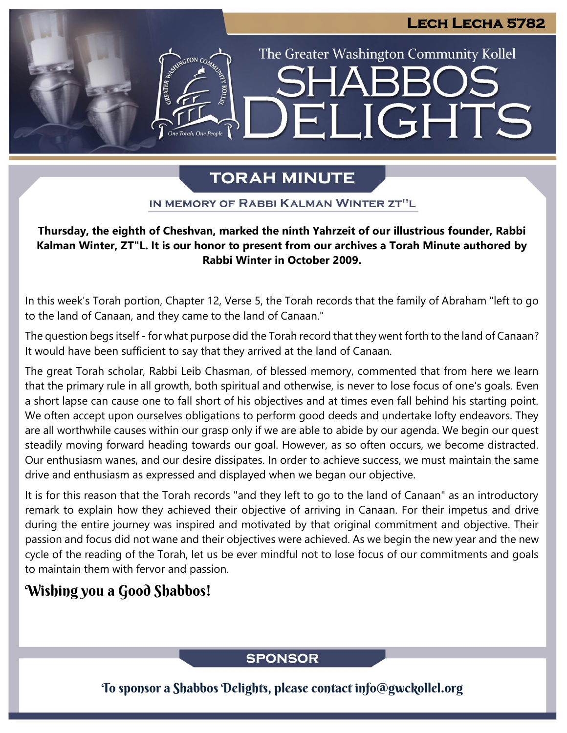LIGHTS

The Greater Washington Community Kollel

# **TORAH MINUTE**

EI

IN MEMORY OF RABBI KALMAN WINTER ZT"L

### **Thursday, the eighth of Cheshvan, marked the ninth Yahrzeit of our illustrious founder, Rabbi Presented by Rabbi Moshe Sadwin, Kollel Adjunct Kalman Winter, ZT"L. It is our honor to present from our archives a Torah Minute authored by Rabbi Winter in October 2009.** *F*resent nom our<br>Directions

In this week's Torah portion, Chapter 12, Verse 5, the Torah records that the family of Abraham "left to go to the land of Canaan, and they came to the land of Canaan."

The question begs itself - for what purpose did the Torah record that they went forth to the land of Canaan? It would have been sufficient to say that they arrived at the land of Canaan.

The great Torah scholar, Rabbi Leib Chasman, of blessed memory, commented that from here we learn that the primary rule in all growth, both spiritual and otherwise, is never to lose focus of one's goals. Even a short lapse can cause one to fall short of his objectives and at times even fall behind his starting point. We often accept upon ourselves obligations to perform good deeds and undertake lofty endeavors. They are all worthwhile causes within our grasp only if we are able to abide by our agenda. We begin our quest steadily moving forward heading towards our goal. However, as so often occurs, we become distracted. Our enthusiasm wanes, and our desire dissipates. In order to achieve success, we must maintain the same drive and enthusiasm as expressed and displayed when we began our objective.

It is for this reason that the Torah records "and they left to go to the land of Canaan" as an introductory remark to explain how they achieved their objective of arriving in Canaan. For their impetus and drive during the entire journey was inspired and motivated by that original commitment and objective. Their passion and focus did not wane and their objectives were achieved. As we begin the new year and the new cycle of the reading of the Torah, let us be ever mindful not to lose focus of our commitments and goals to maintain them with fervor and passion.

# Wishing you a Good Shabbos!

# **SPONSOR**

To sponsor a Shabbos Delights, please contact info@gwckollel.org